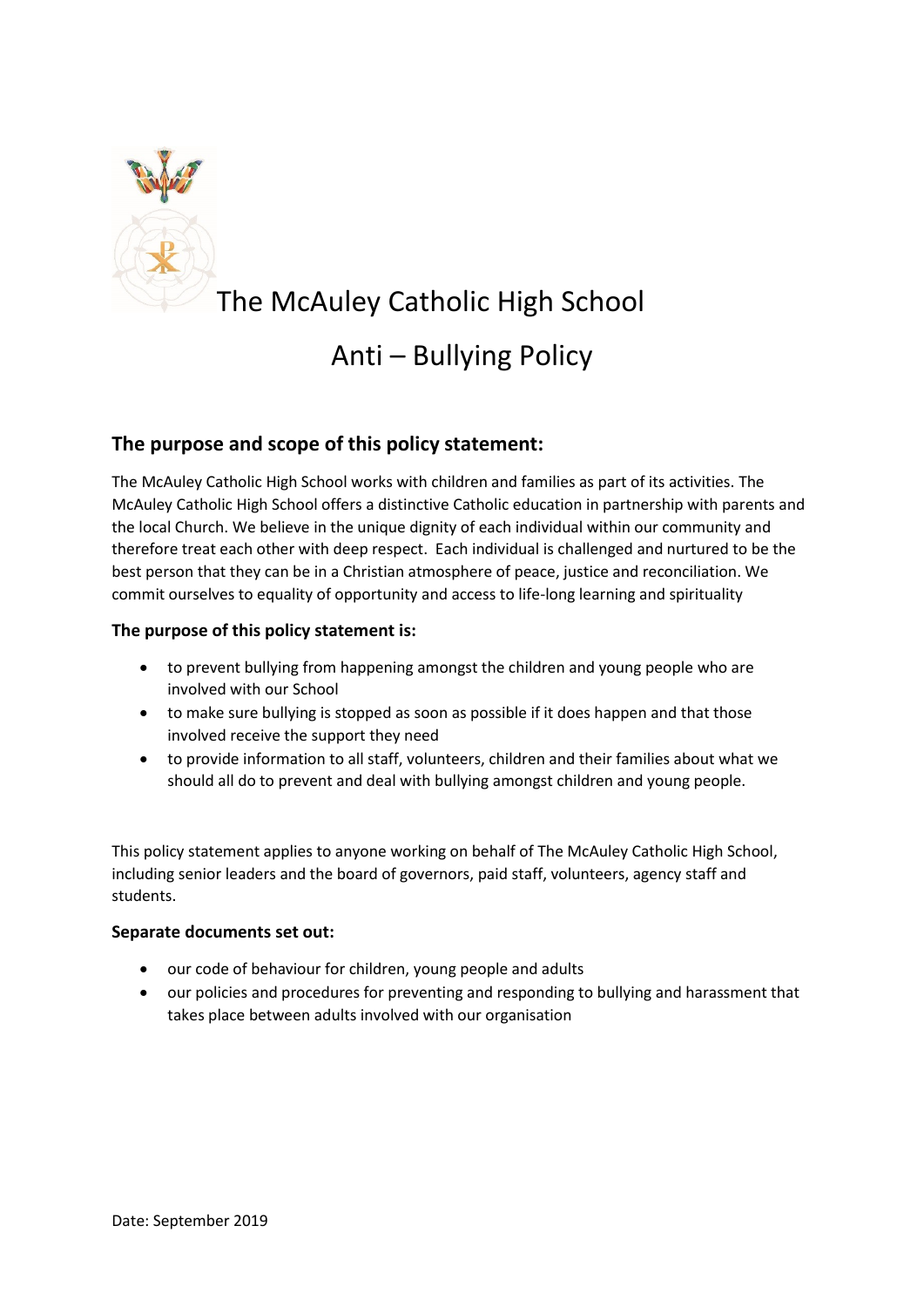

# The McAuley Catholic High School Anti – Bullying Policy

# **The purpose and scope of this policy statement:**

The McAuley Catholic High School works with children and families as part of its activities. The McAuley Catholic High School offers a distinctive Catholic education in partnership with parents and the local Church. We believe in the unique dignity of each individual within our community and therefore treat each other with deep respect. Each individual is challenged and nurtured to be the best person that they can be in a Christian atmosphere of peace, justice and reconciliation. We commit ourselves to equality of opportunity and access to life-long learning and spirituality

# **The purpose of this policy statement is:**

- to prevent bullying from happening amongst the children and young people who are involved with our School
- to make sure bullying is stopped as soon as possible if it does happen and that those involved receive the support they need
- to provide information to all staff, volunteers, children and their families about what we should all do to prevent and deal with bullying amongst children and young people.

This policy statement applies to anyone working on behalf of The McAuley Catholic High School, including senior leaders and the board of governors, paid staff, volunteers, agency staff and students.

### **Separate documents set out:**

- our code of behaviour for children, young people and adults
- our policies and procedures for preventing and responding to bullying and harassment that takes place between adults involved with our organisation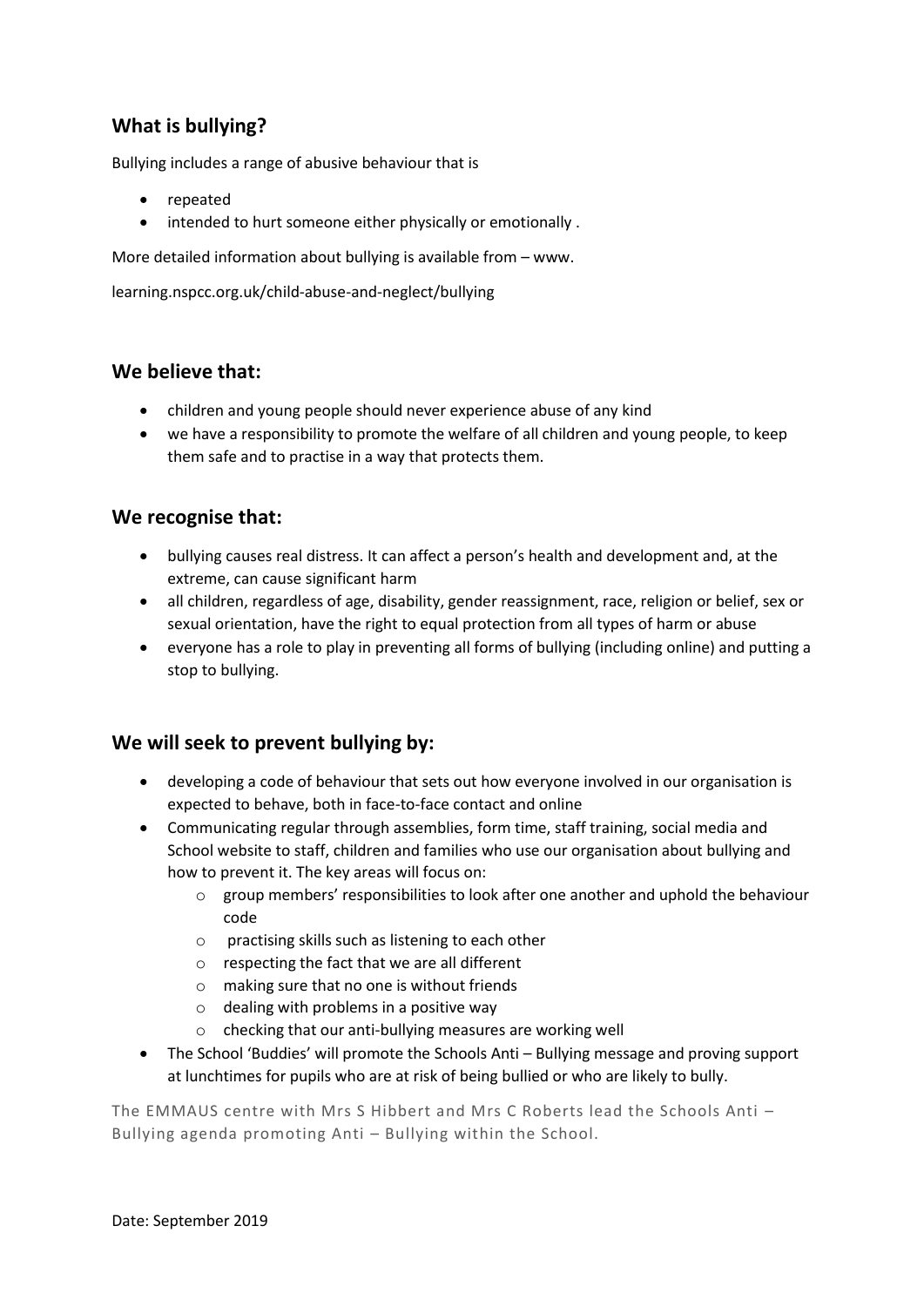# **What is bullying?**

Bullying includes a range of abusive behaviour that is

- repeated
- intended to hurt someone either physically or emotionally .

More detailed information about bullying is available from – www.

learning.nspcc.org.uk/child-abuse-and-neglect/bullying

# **We believe that:**

- children and young people should never experience abuse of any kind
- we have a responsibility to promote the welfare of all children and young people, to keep them safe and to practise in a way that protects them.

# **We recognise that:**

- bullying causes real distress. It can affect a person's health and development and, at the extreme, can cause significant harm
- all children, regardless of age, disability, gender reassignment, race, religion or belief, sex or sexual orientation, have the right to equal protection from all types of harm or abuse
- everyone has a role to play in preventing all forms of bullying (including online) and putting a stop to bullying.

# **We will seek to prevent bullying by:**

- developing a code of behaviour that sets out how everyone involved in our organisation is expected to behave, both in face-to-face contact and online
- Communicating regular through assemblies, form time, staff training, social media and School website to staff, children and families who use our organisation about bullying and how to prevent it. The key areas will focus on:
	- o group members' responsibilities to look after one another and uphold the behaviour code
	- o practising skills such as listening to each other
	- o respecting the fact that we are all different
	- o making sure that no one is without friends
	- $\circ$  dealing with problems in a positive way
	- o checking that our anti-bullying measures are working well
- The School 'Buddies' will promote the Schools Anti Bullying message and proving support at lunchtimes for pupils who are at risk of being bullied or who are likely to bully.

The EMMAUS centre with Mrs S Hibbert and Mrs C Roberts lead the Schools Anti – Bullying agenda promoting Anti – Bullying within the School.